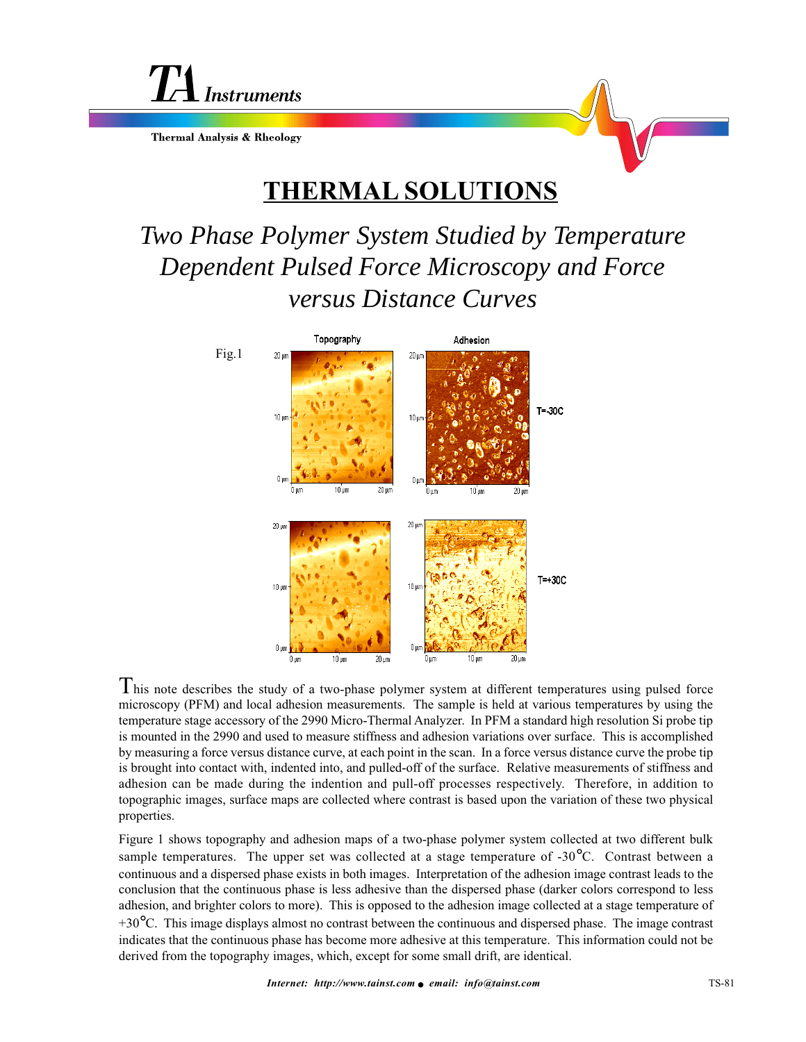

**Thermal Analysis & Rheology** 

## **THERMAL SOLUTIONS**

## *Two Phase Polymer System Studied by Temperature Dependent Pulsed Force Microscopy and Force versus Distance Curves*



 $T$ his note describes the study of a two-phase polymer system at different temperatures using pulsed force microscopy (PFM) and local adhesion measurements. The sample is held at various temperatures by using the temperature stage accessory of the 2990 Micro-Thermal Analyzer. In PFM a standard high resolution Si probe tip is mounted in the 2990 and used to measure stiffness and adhesion variations over surface. This is accomplished by measuring a force versus distance curve, at each point in the scan. In a force versus distance curve the probe tip is brought into contact with, indented into, and pulled-off of the surface. Relative measurements of stiffness and adhesion can be made during the indention and pull-off processes respectively. Therefore, in addition to topographic images, surface maps are collected where contrast is based upon the variation of these two physical properties.

Figure 1 shows topography and adhesion maps of a two-phase polymer system collected at two different bulk sample temperatures. The upper set was collected at a stage temperature of  $-30^{\circ}$ C. Contrast between a continuous and a dispersed phase exists in both images. Interpretation of the adhesion image contrast leads to the conclusion that the continuous phase is less adhesive than the dispersed phase (darker colors correspond to less adhesion, and brighter colors to more). This is opposed to the adhesion image collected at a stage temperature of  $+30^{\circ}$ C. This image displays almost no contrast between the continuous and dispersed phase. The image contrast indicates that the continuous phase has become more adhesive at this temperature. This information could not be derived from the topography images, which, except for some small drift, are identical.